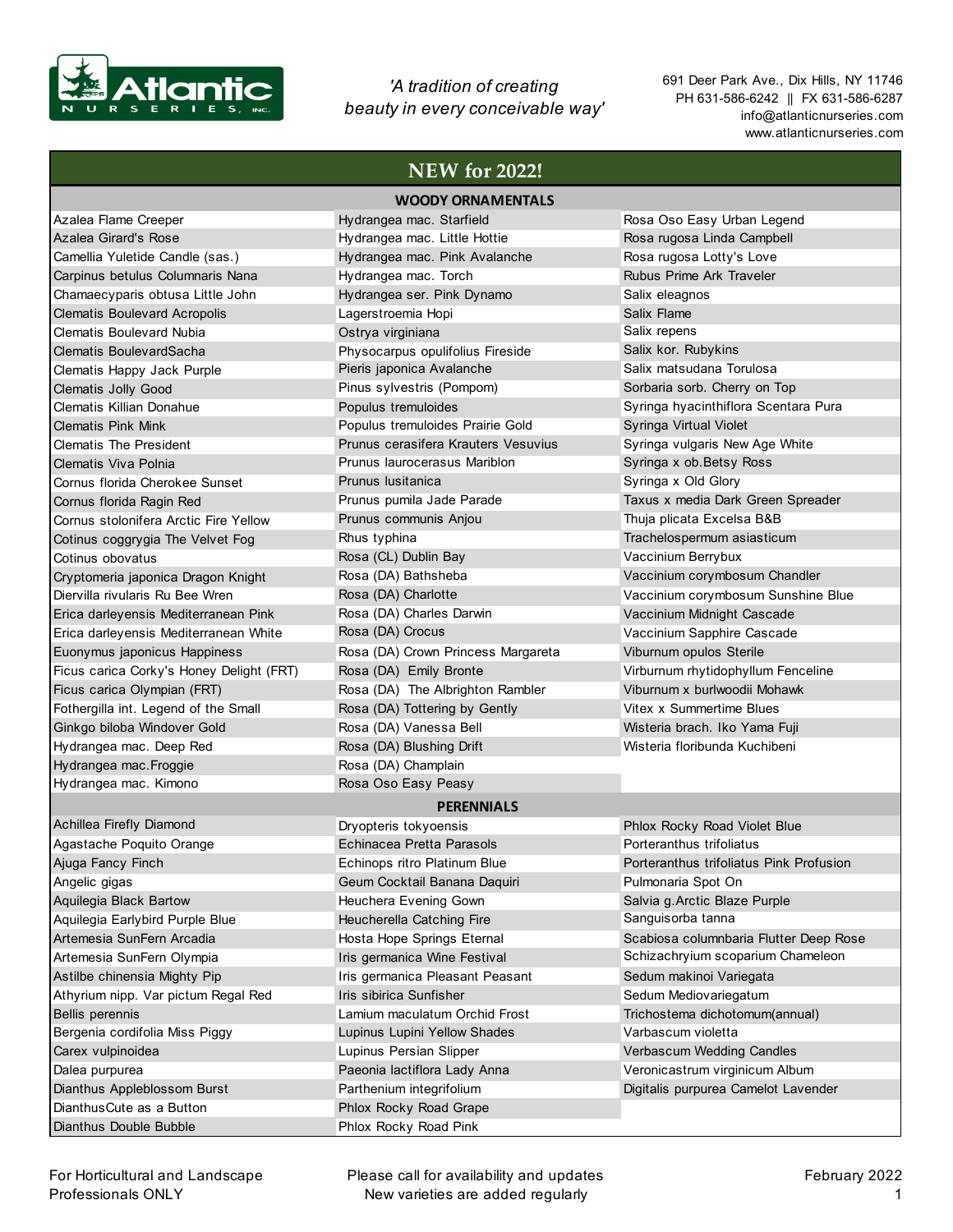

*'A tradition of creating beauty in every conceivable way'* 691 Deer Park Ave., Dix Hills, NY 11746 PH 631-586-6242 || FX 631-586-6287 info@atlanticnurseries.com www.atlanticnurseries.com

## **NEW for 2022!**

| <b>WOODY ORNAMENTALS</b>                 |                                     |                                                          |
|------------------------------------------|-------------------------------------|----------------------------------------------------------|
| Azalea Flame Creeper                     | Hydrangea mac. Starfield            | Rosa Oso Easy Urban Legend                               |
| Azalea Girard's Rose                     | Hydrangea mac. Little Hottie        | Rosa rugosa Linda Campbell                               |
| Camellia Yuletide Candle (sas.)          | Hydrangea mac. Pink Avalanche       | Rosa rugosa Lotty's Love                                 |
| Carpinus betulus Columnaris Nana         | Hydrangea mac. Torch                | Rubus Prime Ark Traveler                                 |
| Chamaecyparis obtusa Little John         | Hydrangea ser. Pink Dynamo          | Salix eleagnos                                           |
| <b>Clematis Boulevard Acropolis</b>      | Lagerstroemia Hopi                  | Salix Flame                                              |
| Clematis Boulevard Nubia                 | Ostrya virginiana                   | Salix repens                                             |
| Clematis BoulevardSacha                  | Physocarpus opulifolius Fireside    | Salix kor. Rubykins                                      |
| Clematis Happy Jack Purple               | Pieris japonica Avalanche           | Salix matsudana Torulosa                                 |
| Clematis Jolly Good                      | Pinus sylvestris (Pompom)           | Sorbaria sorb. Cherry on Top                             |
| Clematis Killian Donahue                 | Populus tremuloides                 | Syringa hyacinthiflora Scentara Pura                     |
| <b>Clematis Pink Mink</b>                | Populus tremuloides Prairie Gold    | Syringa Virtual Violet                                   |
| <b>Clematis The President</b>            | Prunus cerasifera Krauters Vesuvius | Syringa vulgaris New Age White                           |
| Clematis Viva Polnia                     | Prunus laurocerasus Mariblon        | Syringa x ob. Betsy Ross                                 |
| Cornus florida Cherokee Sunset           | Prunus Iusitanica                   | Syringa x Old Glory                                      |
| Cornus florida Ragin Red                 | Prunus pumila Jade Parade           | Taxus x media Dark Green Spreader                        |
| Cornus stolonifera Arctic Fire Yellow    | Prunus communis Anjou               | Thuja plicata Excelsa B&B                                |
| Cotinus coggrygia The Velvet Fog         | Rhus typhina                        | Trachelospermum asiasticum                               |
| Cotinus obovatus                         | Rosa (CL) Dublin Bay                | Vaccinium Berrybux                                       |
| Cryptomeria japonica Dragon Knight       | Rosa (DA) Bathsheba                 | Vaccinium corymbosum Chandler                            |
| Diervilla rivularis Ru Bee Wren          | Rosa (DA) Charlotte                 | Vaccinium corymbosum Sunshine Blue                       |
| Erica darleyensis Mediterranean Pink     | Rosa (DA) Charles Darwin            | Vaccinium Midnight Cascade                               |
| Erica darleyensis Mediterranean White    | Rosa (DA) Crocus                    | Vaccinium Sapphire Cascade                               |
| Euonymus japonicus Happiness             | Rosa (DA) Crown Princess Margareta  | Viburnum opulos Sterile                                  |
| Ficus carica Corky's Honey Delight (FRT) | Rosa (DA) Emily Bronte              | Virburnum rhytidophyllum Fenceline                       |
| Ficus carica Olympian (FRT)              | Rosa (DA) The Albrighton Rambler    | Viburnum x burlwoodii Mohawk                             |
| Fothergilla int. Legend of the Small     | Rosa (DA) Tottering by Gently       | Vitex x Summertime Blues                                 |
| Ginkgo biloba Windover Gold              | Rosa (DA) Vanessa Bell              | Wisteria brach. Iko Yama Fuji                            |
| Hydrangea mac. Deep Red                  | Rosa (DA) Blushing Drift            | Wisteria floribunda Kuchibeni                            |
| Hydrangea mac. Froggie                   | Rosa (DA) Champlain                 |                                                          |
| Hydrangea mac. Kimono                    | Rosa Oso Easy Peasy                 |                                                          |
|                                          | <b>PERENNIALS</b>                   |                                                          |
| Achillea Firefly Diamond                 |                                     |                                                          |
|                                          | Dryopteris tokyoensis               | Phlox Rocky Road Violet Blue<br>Porteranthus trifoliatus |
| Agastache Poquito Orange                 | Echinacea Pretta Parasols           |                                                          |
| Ajuga Fancy Finch                        | Echinops ritro Platinum Blue        | Porteranthus trifoliatus Pink Profusion                  |
| Angelic gigas                            | Geum Cocktail Banana Daguiri        | Pulmonaria Spot On                                       |
| Aquilegia Black Bartow                   | Heuchera Evening Gown               | Salvia g. Arctic Blaze Purple<br>Sanguisorba tanna       |
| Aquilegia Earlybird Purple Blue          | Heucherella Catching Fire           |                                                          |
| Artemesia SunFern Arcadia                | Hosta Hope Springs Eternal          | Scabiosa columnbaria Flutter Deep Rose                   |
| Artemesia SunFern Olympia                | Iris germanica Wine Festival        | Schizachryium scoparium Chameleon                        |
| Astilbe chinensia Mighty Pip             | Iris germanica Pleasant Peasant     | Sedum makinoi Variegata                                  |
| Athyrium nipp. Var pictum Regal Red      | Iris sibirica Sunfisher             | Sedum Mediovariegatum                                    |
| Bellis perennis                          | Lamium maculatum Orchid Frost       | Trichostema dichotomum(annual)                           |
| Bergenia cordifolia Miss Piggy           | Lupinus Lupini Yellow Shades        | Varbascum violetta                                       |
| Carex vulpinoidea                        | Lupinus Persian Slipper             | Verbascum Wedding Candles                                |
| Dalea purpurea                           | Paeonia lactiflora Lady Anna        | Veronicastrum virginicum Album                           |
| Dianthus Appleblossom Burst              | Parthenium integrifolium            | Digitalis purpurea Camelot Lavender                      |
| Dianthus Cute as a Button                | Phlox Rocky Road Grape              |                                                          |
| Dianthus Double Bubble                   | Phlox Rocky Road Pink               |                                                          |